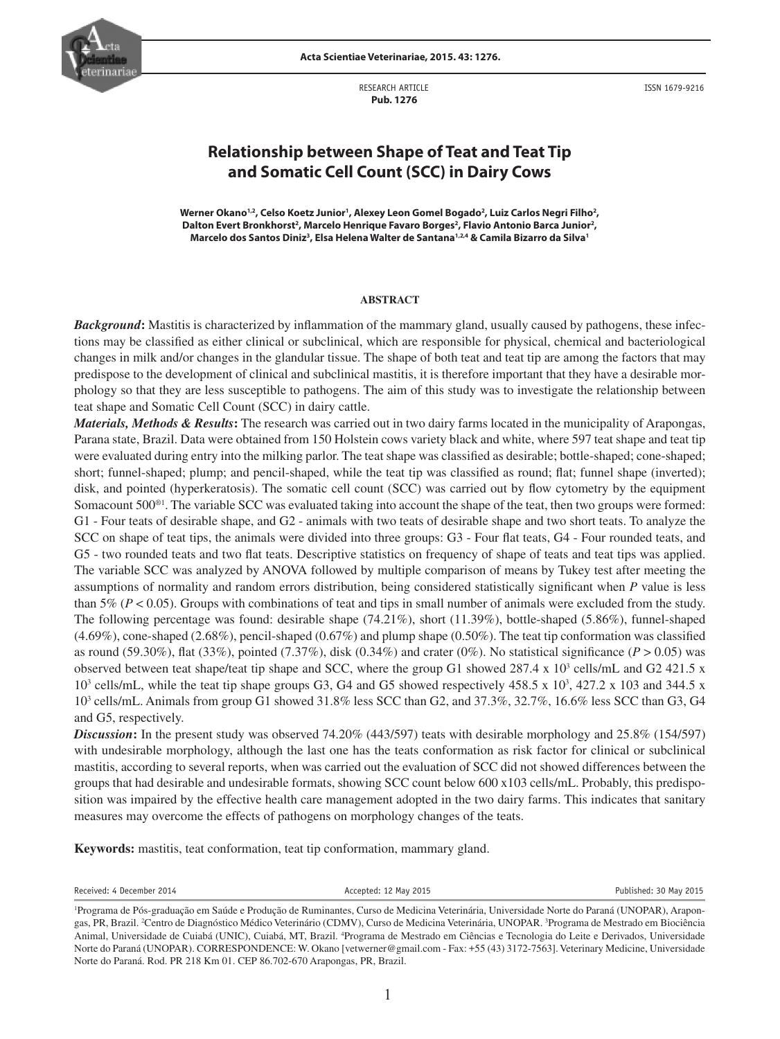

**Acta Scientiae Veterinariae, 2015. 43: 1276.**

RESEARCH ARTICLE  **Pub. 1276**

ISSN 1679-9216

# **Relationship between Shape of Teat and Teat Tip and Somatic Cell Count (SCC) in Dairy Cows**

**Werner Okano1,2, Celso Koetz Junior1 , Alexey Leon Gomel Bogado2 , Luiz Carlos Negri Filho2 ,**  Dalton Evert Bronkhorst<sup>2</sup>, Marcelo Henrique Favaro Borges<sup>2</sup>, Flavio Antonio Barca Junior<sup>2</sup>, **Marcelo dos Santos Diniz3 , Elsa Helena Walter de Santana1,2,4 & Camila Bizarro da Silva1**

#### **ABSTRACT**

*Background***:** Mastitis is characterized by inflammation of the mammary gland, usually caused by pathogens, these infections may be classified as either clinical or subclinical, which are responsible for physical, chemical and bacteriological changes in milk and/or changes in the glandular tissue. The shape of both teat and teat tip are among the factors that may predispose to the development of clinical and subclinical mastitis, it is therefore important that they have a desirable morphology so that they are less susceptible to pathogens. The aim of this study was to investigate the relationship between teat shape and Somatic Cell Count (SCC) in dairy cattle.

*Materials, Methods & Results***:** The research was carried out in two dairy farms located in the municipality of Arapongas, Parana state, Brazil. Data were obtained from 150 Holstein cows variety black and white, where 597 teat shape and teat tip were evaluated during entry into the milking parlor. The teat shape was classified as desirable; bottle-shaped; cone-shaped; short; funnel-shaped; plump; and pencil-shaped, while the teat tip was classified as round; flat; funnel shape (inverted); disk, and pointed (hyperkeratosis). The somatic cell count (SCC) was carried out by flow cytometry by the equipment Somacount 500®1. The variable SCC was evaluated taking into account the shape of the teat, then two groups were formed: G1 - Four teats of desirable shape, and G2 - animals with two teats of desirable shape and two short teats. To analyze the SCC on shape of teat tips, the animals were divided into three groups: G3 - Four flat teats, G4 - Four rounded teats, and G5 - two rounded teats and two flat teats. Descriptive statistics on frequency of shape of teats and teat tips was applied. The variable SCC was analyzed by ANOVA followed by multiple comparison of means by Tukey test after meeting the assumptions of normality and random errors distribution, being considered statistically significant when *P* value is less than 5% ( $P < 0.05$ ). Groups with combinations of teat and tips in small number of animals were excluded from the study. The following percentage was found: desirable shape (74.21%), short (11.39%), bottle-shaped (5.86%), funnel-shaped (4.69%), cone-shaped (2.68%), pencil-shaped (0.67%) and plump shape (0.50%). The teat tip conformation was classified as round (59.30%), flat (33%), pointed (7.37%), disk (0.34%) and crater (0%). No statistical significance ( $P > 0.05$ ) was observed between teat shape/teat tip shape and SCC, where the group G1 showed 287.4 x  $10^3$  cells/mL and G2 421.5 x 10<sup>3</sup> cells/mL, while the teat tip shape groups G3, G4 and G5 showed respectively 458.5 x 10<sup>3</sup>, 427.2 x 103 and 344.5 x 103 cells/mL. Animals from group G1 showed 31.8% less SCC than G2, and 37.3%, 32.7%, 16.6% less SCC than G3, G4 and G5, respectively.

*Discussion***:** In the present study was observed 74.20% (443/597) teats with desirable morphology and 25.8% (154/597) with undesirable morphology, although the last one has the teats conformation as risk factor for clinical or subclinical mastitis, according to several reports, when was carried out the evaluation of SCC did not showed differences between the groups that had desirable and undesirable formats, showing SCC count below 600 x103 cells/mL. Probably, this predisposition was impaired by the effective health care management adopted in the two dairy farms. This indicates that sanitary measures may overcome the effects of pathogens on morphology changes of the teats.

**Keywords:** mastitis, teat conformation, teat tip conformation, mammary gland.

Received: 4 December 2014 **Accepted: 12 May 2015 Published: 30 May 2015 Published: 30 May 2015** 

<sup>1</sup> Programa de Pós-graduação em Saúde e Produção de Ruminantes, Curso de Medicina Veterinária, Universidade Norte do Paraná (UNOPAR), Arapongas, PR, Brazil. <sup>2</sup>Centro de Diagnóstico Médico Veterinário (CDMV), Curso de Medicina Veterinária, UNOPAR. <sup>3</sup>Programa de Mestrado em Biociência Animal, Universidade de Cuiabá (UNIC), Cuiabá, MT, Brazil. <sup>4</sup>Programa de Mestrado em Ciências e Tecnologia do Leite e Derivados, Universidade Norte do Paraná (UNOPAR). CORRESPONDENCE: W. Okano [vetwerner@gmail.com - Fax: +55 (43) 3172-7563]. Veterinary Medicine, Universidade Norte do Paraná. Rod. PR 218 Km 01. CEP 86.702-670 Arapongas, PR, Brazil.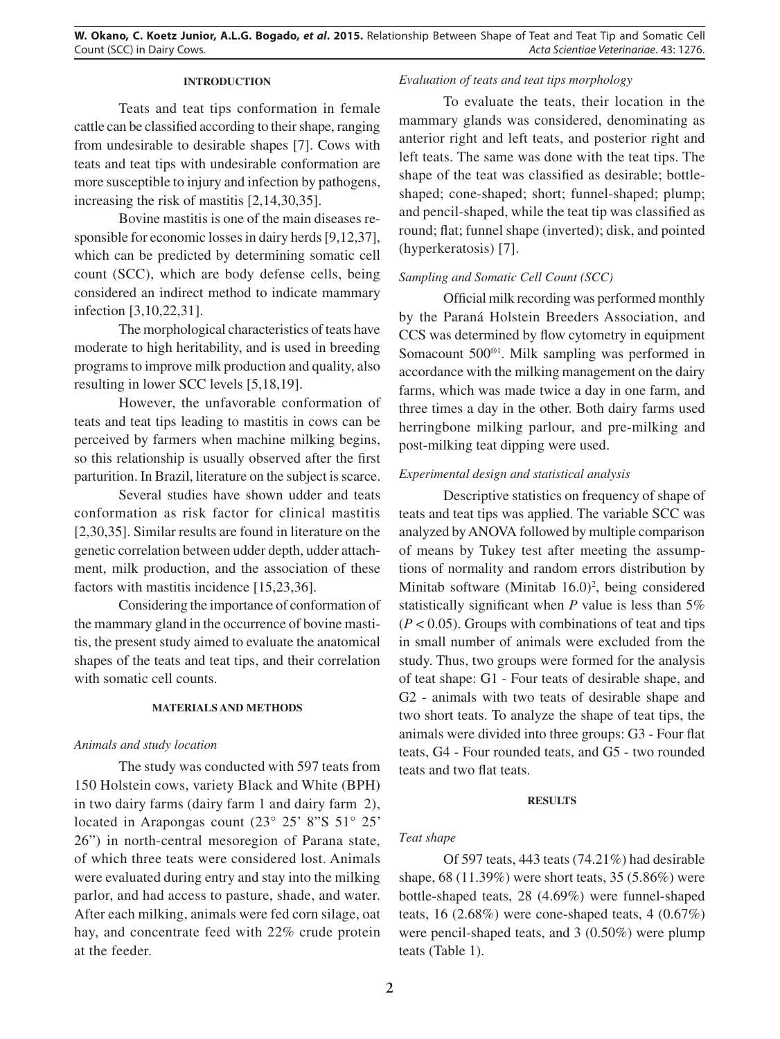# **INTRODUCTION**

Teats and teat tips conformation in female cattle can be classified according to their shape, ranging from undesirable to desirable shapes [7]. Cows with teats and teat tips with undesirable conformation are more susceptible to injury and infection by pathogens, increasing the risk of mastitis [2,14,30,35].

Bovine mastitis is one of the main diseases responsible for economic losses in dairy herds [9,12,37], which can be predicted by determining somatic cell count (SCC), which are body defense cells, being considered an indirect method to indicate mammary infection [3,10,22,31].

The morphological characteristics of teats have moderate to high heritability, and is used in breeding programs to improve milk production and quality, also resulting in lower SCC levels [5,18,19].

However, the unfavorable conformation of teats and teat tips leading to mastitis in cows can be perceived by farmers when machine milking begins, so this relationship is usually observed after the first parturition. In Brazil, literature on the subject is scarce.

Several studies have shown udder and teats conformation as risk factor for clinical mastitis [2,30,35]. Similar results are found in literature on the genetic correlation between udder depth, udder attachment, milk production, and the association of these factors with mastitis incidence [15,23,36].

Considering the importance of conformation of the mammary gland in the occurrence of bovine mastitis, the present study aimed to evaluate the anatomical shapes of the teats and teat tips, and their correlation with somatic cell counts.

## **MATERIALS AND METHODS**

#### *Animals and study location*

The study was conducted with 597 teats from 150 Holstein cows, variety Black and White (BPH) in two dairy farms (dairy farm 1 and dairy farm 2), located in Arapongas count (23° 25' 8"S 51° 25' 26") in north-central mesoregion of Parana state, of which three teats were considered lost. Animals were evaluated during entry and stay into the milking parlor, and had access to pasture, shade, and water. After each milking, animals were fed corn silage, oat hay, and concentrate feed with 22% crude protein at the feeder.

# *Evaluation of teats and teat tips morphology*

To evaluate the teats, their location in the mammary glands was considered, denominating as anterior right and left teats, and posterior right and left teats. The same was done with the teat tips. The shape of the teat was classified as desirable; bottleshaped; cone-shaped; short; funnel-shaped; plump; and pencil-shaped, while the teat tip was classified as round; flat; funnel shape (inverted); disk, and pointed (hyperkeratosis) [7].

# *Sampling and Somatic Cell Count (SCC)*

Official milk recording was performed monthly by the Paraná Holstein Breeders Association, and CCS was determined by flow cytometry in equipment Somacount 500®1. Milk sampling was performed in accordance with the milking management on the dairy farms, which was made twice a day in one farm, and three times a day in the other. Both dairy farms used herringbone milking parlour, and pre-milking and post-milking teat dipping were used.

## *Experimental design and statistical analysis*

Descriptive statistics on frequency of shape of teats and teat tips was applied. The variable SCC was analyzed by ANOVA followed by multiple comparison of means by Tukey test after meeting the assumptions of normality and random errors distribution by Minitab software (Minitab  $16.0$ )<sup>2</sup>, being considered statistically significant when *P* value is less than 5%  $(P < 0.05)$ . Groups with combinations of teat and tips in small number of animals were excluded from the study. Thus, two groups were formed for the analysis of teat shape: G1 - Four teats of desirable shape, and G2 - animals with two teats of desirable shape and two short teats. To analyze the shape of teat tips, the animals were divided into three groups: G3 - Four flat teats, G4 - Four rounded teats, and G5 - two rounded teats and two flat teats.

#### **RESULTS**

# *Teat shape*

Of 597 teats, 443 teats (74.21%) had desirable shape, 68 (11.39%) were short teats, 35 (5.86%) were bottle-shaped teats, 28 (4.69%) were funnel-shaped teats, 16  $(2.68\%)$  were cone-shaped teats, 4  $(0.67\%)$ were pencil-shaped teats, and 3 (0.50%) were plump teats (Table 1).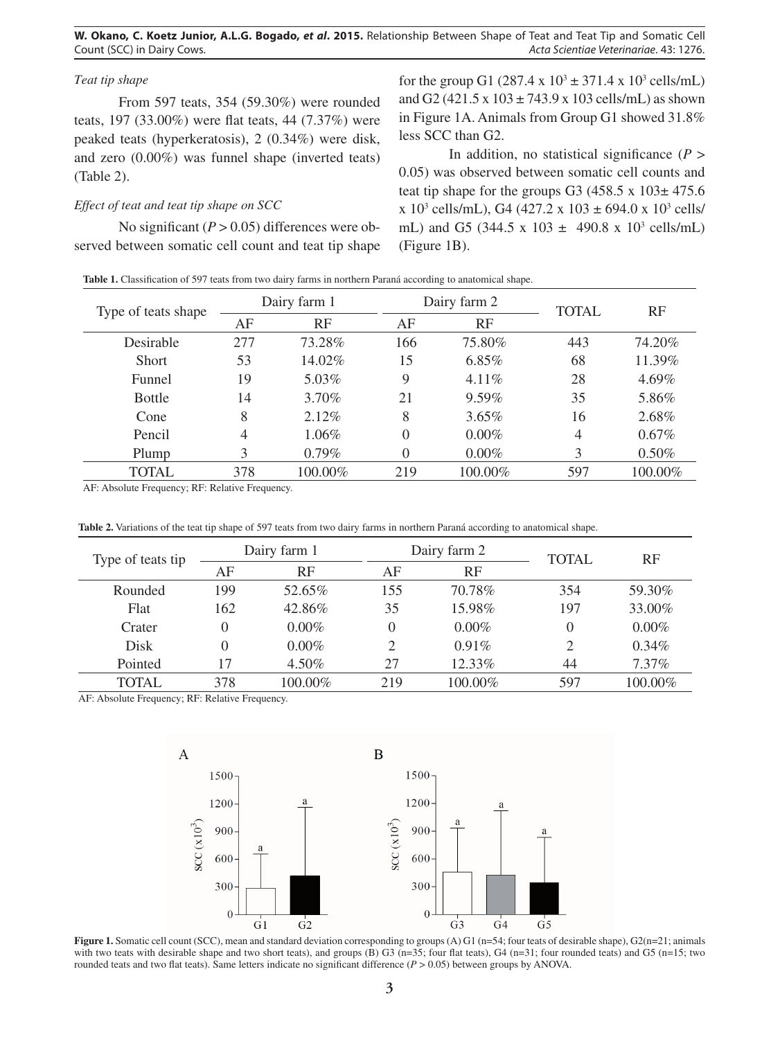**W. Okano, C. Koetz Junior, A.L.G. Bogado,** *et al***. 2015.** Relationship Between Shape of Teat and Teat Tip and Somatic Cell Count (SCC) in Dairy Cows. *Acta Scientiae Veterinariae*. 43: 1276.

# *Teat tip shape*

From 597 teats, 354 (59.30%) were rounded teats, 197 (33.00%) were flat teats, 44 (7.37%) were peaked teats (hyperkeratosis), 2 (0.34%) were disk, and zero (0.00%) was funnel shape (inverted teats) (Table 2).

#### *Effect of teat and teat tip shape on SCC*

No significant  $(P > 0.05)$  differences were observed between somatic cell count and teat tip shape

for the group G1  $(287.4 \times 10^3 \pm 371.4 \times 10^3 \text{ cells/mL})$ and G2 (421.5 x  $103 \pm 743.9$  x  $103$  cells/mL) as shown in Figure 1A. Animals from Group G1 showed 31.8% less SCC than G2.

In addition, no statistical significance  $(P >$ 0.05) was observed between somatic cell counts and teat tip shape for the groups G3 (458.5 x  $103 \pm 475.6$ )  $x 10^3$  cells/mL), G4 (427.2 x 103  $\pm$  694.0 x 10<sup>3</sup> cells/ mL) and G5 (344.5 x 103  $\pm$  490.8 x 10<sup>3</sup> cells/mL) (Figure 1B).

| Table 1. Classification of 597 teats from two dairy farms in northern Paraná according to anatomical shape. |  |  |
|-------------------------------------------------------------------------------------------------------------|--|--|
|                                                                                                             |  |  |

| Type of teats shape | Dairy farm 1   |          | Dairy farm 2 |          | <b>TOTAL</b> | RF       |
|---------------------|----------------|----------|--------------|----------|--------------|----------|
|                     | AF             | RF       | AF           | RF       |              |          |
| Desirable           | 277            | 73.28%   | 166          | 75.80%   | 443          | 74.20%   |
| <b>Short</b>        | 53             | 14.02%   | 15           | $6.85\%$ | 68           | 11.39%   |
| Funnel              | 19             | 5.03%    | 9            | $4.11\%$ | 28           | 4.69%    |
| <b>Bottle</b>       | 14             | 3.70%    | 21           | 9.59%    | 35           | 5.86%    |
| Cone                | 8              | $2.12\%$ | 8            | 3.65%    | 16           | 2.68%    |
| Pencil              | $\overline{4}$ | $1.06\%$ | $\theta$     | $0.00\%$ | 4            | 0.67%    |
| Plump               | 3              | $0.79\%$ | $\Omega$     | $0.00\%$ | 3            | $0.50\%$ |
| <b>TOTAL</b>        | 378            | 100.00%  | 219          | 100.00%  | 597          | 100.00%  |

AF: Absolute Frequency; RF: Relative Frequency.

| <b>Table 2.</b> Variations of the teat tip shape of 597 teats from two dairy farms in northern Paraná according to anatomical shape. |  |
|--------------------------------------------------------------------------------------------------------------------------------------|--|
|--------------------------------------------------------------------------------------------------------------------------------------|--|

| Type of teats tip | Dairy farm 1 |          |          | Dairy farm 2 |              | RF      |
|-------------------|--------------|----------|----------|--------------|--------------|---------|
|                   | AF           | RF       | AF       | RF           | <b>TOTAL</b> |         |
| Rounded           | 199          | 52.65%   | 155      | 70.78%       | 354          | 59.30%  |
| Flat              | 162          | 42.86%   | 35       | 15.98%       | 197          | 33.00%  |
| Crater            | 0            | $0.00\%$ | $\Omega$ | $0.00\%$     | $\theta$     | 0.00%   |
| Disk              | 0            | $0.00\%$ | 2        | 0.91%        | 2            | 0.34%   |
| Pointed           | 17           | 4.50%    | 27       | 12.33%       | 44           | 7.37%   |
| TOTAL             | 378          | 100.00%  | 219      | 100.00%      | 597          | 100.00% |

AF: Absolute Frequency; RF: Relative Frequency.



**Figure 1.** Somatic cell count (SCC), mean and standard deviation corresponding to groups (A) G1 (n=54; four teats of desirable shape), G2(n=21; animals with two teats with desirable shape and two short teats), and groups  $(B)$  G3 (n=35; four flat teats), G4 (n=31; four rounded teats) and G5 (n=15; two rounded teats and two flat teats). Same letters indicate no significant difference  $(P > 0.05)$  between groups by ANOVA.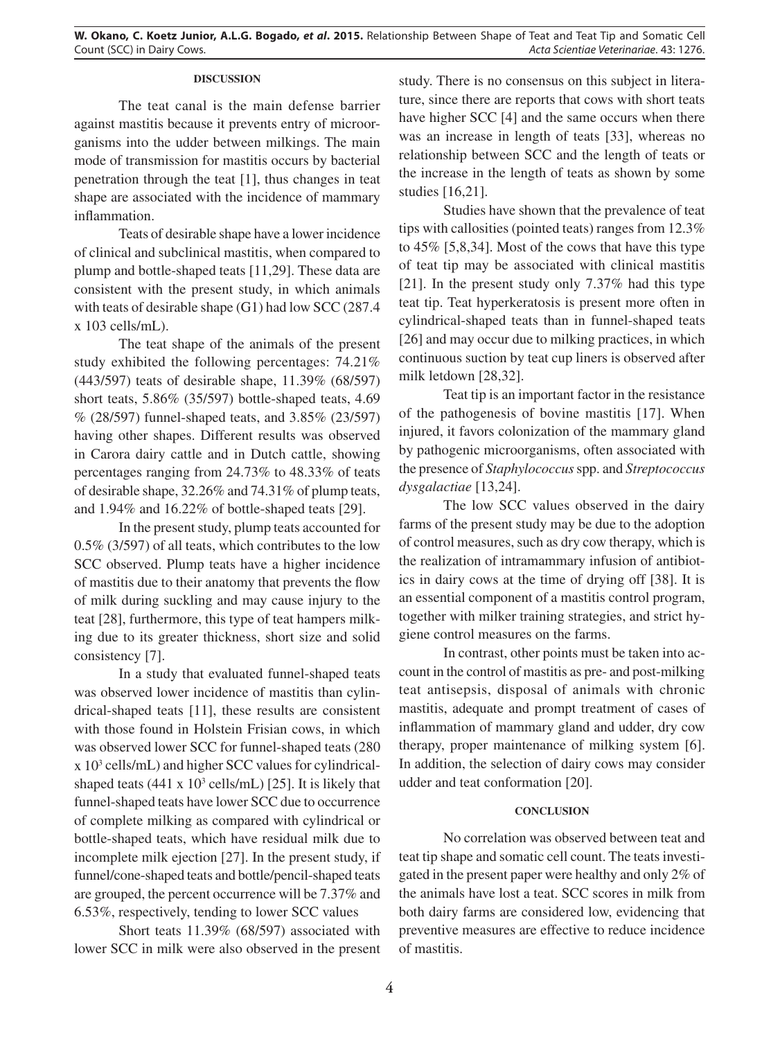## **DISCUSSION**

The teat canal is the main defense barrier against mastitis because it prevents entry of microorganisms into the udder between milkings. The main mode of transmission for mastitis occurs by bacterial penetration through the teat [1], thus changes in teat shape are associated with the incidence of mammary inflammation.

Teats of desirable shape have a lower incidence of clinical and subclinical mastitis, when compared to plump and bottle-shaped teats [11,29]. These data are consistent with the present study, in which animals with teats of desirable shape (G1) had low SCC (287.4 x 103 cells/mL).

The teat shape of the animals of the present study exhibited the following percentages: 74.21% (443/597) teats of desirable shape, 11.39% (68/597) short teats, 5.86% (35/597) bottle-shaped teats, 4.69 % (28/597) funnel-shaped teats, and 3.85% (23/597) having other shapes. Different results was observed in Carora dairy cattle and in Dutch cattle, showing percentages ranging from 24.73% to 48.33% of teats of desirable shape, 32.26% and 74.31% of plump teats, and 1.94% and 16.22% of bottle-shaped teats [29].

In the present study, plump teats accounted for 0.5% (3/597) of all teats, which contributes to the low SCC observed. Plump teats have a higher incidence of mastitis due to their anatomy that prevents the flow of milk during suckling and may cause injury to the teat [28], furthermore, this type of teat hampers milking due to its greater thickness, short size and solid consistency [7].

In a study that evaluated funnel-shaped teats was observed lower incidence of mastitis than cylindrical-shaped teats [11], these results are consistent with those found in Holstein Frisian cows, in which was observed lower SCC for funnel-shaped teats (280 x 103 cells/mL) and higher SCC values for cylindricalshaped teats  $(441 \times 10^3 \text{ cells/mL})$  [25]. It is likely that funnel-shaped teats have lower SCC due to occurrence of complete milking as compared with cylindrical or bottle-shaped teats, which have residual milk due to incomplete milk ejection [27]. In the present study, if funnel/cone-shaped teats and bottle/pencil-shaped teats are grouped, the percent occurrence will be 7.37% and 6.53%, respectively, tending to lower SCC values

Short teats 11.39% (68/597) associated with lower SCC in milk were also observed in the present study. There is no consensus on this subject in literature, since there are reports that cows with short teats have higher SCC [4] and the same occurs when there was an increase in length of teats [33], whereas no relationship between SCC and the length of teats or the increase in the length of teats as shown by some studies [16,21].

Studies have shown that the prevalence of teat tips with callosities (pointed teats) ranges from 12.3% to 45% [5,8,34]. Most of the cows that have this type of teat tip may be associated with clinical mastitis [21]. In the present study only 7.37% had this type teat tip. Teat hyperkeratosis is present more often in cylindrical-shaped teats than in funnel-shaped teats [26] and may occur due to milking practices, in which continuous suction by teat cup liners is observed after milk letdown [28,32].

Teat tip is an important factor in the resistance of the pathogenesis of bovine mastitis [17]. When injured, it favors colonization of the mammary gland by pathogenic microorganisms, often associated with the presence of *Staphylococcus* spp. and *Streptococcus dysgalactiae* [13,24].

The low SCC values observed in the dairy farms of the present study may be due to the adoption of control measures, such as dry cow therapy, which is the realization of intramammary infusion of antibiotics in dairy cows at the time of drying off [38]. It is an essential component of a mastitis control program, together with milker training strategies, and strict hygiene control measures on the farms.

In contrast, other points must be taken into account in the control of mastitis as pre- and post-milking teat antisepsis, disposal of animals with chronic mastitis, adequate and prompt treatment of cases of inflammation of mammary gland and udder, dry cow therapy, proper maintenance of milking system [6]. In addition, the selection of dairy cows may consider udder and teat conformation [20].

#### **CONCLUSION**

No correlation was observed between teat and teat tip shape and somatic cell count. The teats investigated in the present paper were healthy and only 2% of the animals have lost a teat. SCC scores in milk from both dairy farms are considered low, evidencing that preventive measures are effective to reduce incidence of mastitis.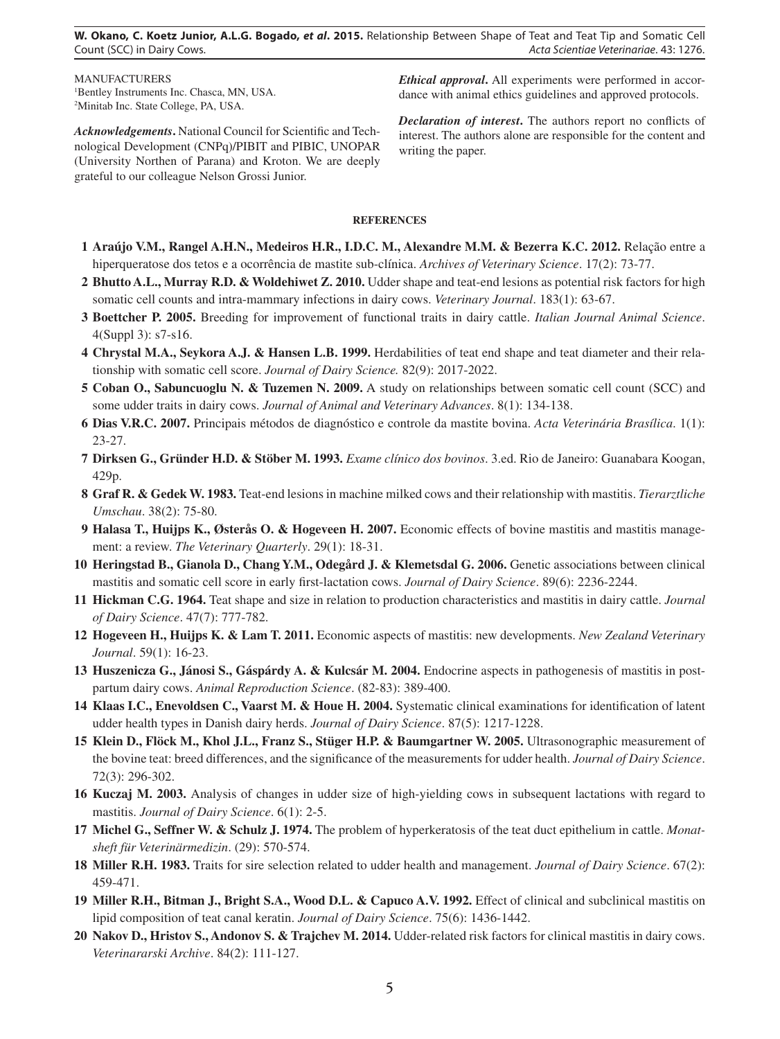**W. Okano, C. Koetz Junior, A.L.G. Bogado,** *et al***. 2015.** Relationship Between Shape of Teat and Teat Tip and Somatic Cell Count (SCC) in Dairy Cows. *Acta Scientiae Veterinariae*. 43: 1276.

MANUFACTURERS 1 Bentley Instruments Inc. Chasca, MN, USA. 2 Minitab Inc. State College, PA, USA.

*Acknowledgements***.** National Council for Scientific and Technological Development (CNPq)/PIBIT and PIBIC, UNOPAR (University Northen of Parana) and Kroton. We are deeply grateful to our colleague Nelson Grossi Junior.

*Ethical approval***.** All experiments were performed in accordance with animal ethics guidelines and approved protocols.

*Declaration of interest***.** The authors report no conflicts of interest. The authors alone are responsible for the content and writing the paper.

#### **REFERENCES**

- **1 Araújo V.M., Rangel A.H.N., Medeiros H.R., I.D.C. M., Alexandre M.M. & Bezerra K.C. 2012.** Relação entre a hiperqueratose dos tetos e a ocorrência de mastite sub-clínica. *Archives of Veterinary Science*. 17(2): 73-77.
- **2 Bhutto A.L., Murray R.D. & Woldehiwet Z. 2010.** Udder shape and teat-end lesions as potential risk factors for high somatic cell counts and intra-mammary infections in dairy cows. *Veterinary Journal*. 183(1): 63-67.
- **3 Boettcher P. 2005.** Breeding for improvement of functional traits in dairy cattle. *Italian Journal Animal Science*. 4(Suppl 3): s7-s16.
- **4 Chrystal M.A., Seykora A.J. & Hansen L.B. 1999.** Herdabilities of teat end shape and teat diameter and their relationship with somatic cell score. *Journal of Dairy Science.* 82(9): 2017-2022.
- **5 Coban O., Sabuncuoglu N. & Tuzemen N. 2009.** A study on relationships between somatic cell count (SCC) and some udder traits in dairy cows. *Journal of Animal and Veterinary Advances*. 8(1): 134-138.
- **6 Dias V.R.C. 2007.** Principais métodos de diagnóstico e controle da mastite bovina. *Acta Veterinária Brasílica*. 1(1): 23-27.
- **7 Dirksen G., Gründer H.D. & Stöber M. 1993.** *Exame clínico dos bovinos*. 3.ed. Rio de Janeiro: Guanabara Koogan, 429p.
- **8 Graf R. & Gedek W. 1983.** Teat-end lesions in machine milked cows and their relationship with mastitis. *Tierarztliche Umschau*. 38(2): 75-80.
- **9 Halasa T., Huijps K., Østerås O. & Hogeveen H. 2007.** Economic effects of bovine mastitis and mastitis management: a review. *The Veterinary Quarterly*. 29(1): 18-31.
- **10 Heringstad B., Gianola D., Chang Y.M., Odegård J. & Klemetsdal G. 2006.** Genetic associations between clinical mastitis and somatic cell score in early first-lactation cows. *Journal of Dairy Science*. 89(6): 2236-2244.
- **11 Hickman C.G. 1964.** Teat shape and size in relation to production characteristics and mastitis in dairy cattle. *Journal of Dairy Science*. 47(7): 777-782.
- **12 Hogeveen H., Huijps K. & Lam T. 2011.** Economic aspects of mastitis: new developments. *New Zealand Veterinary Journal*. 59(1): 16-23.
- **13 Huszenicza G., Jánosi S., Gáspárdy A. & Kulcsár M. 2004.** Endocrine aspects in pathogenesis of mastitis in postpartum dairy cows. *Animal Reproduction Science*. (82-83): 389-400.
- **14 Klaas I.C., Enevoldsen C., Vaarst M. & Houe H. 2004.** Systematic clinical examinations for identification of latent udder health types in Danish dairy herds. *Journal of Dairy Science*. 87(5): 1217-1228.
- **15 Klein D., Flöck M., Khol J.L., Franz S., Stüger H.P. & Baumgartner W. 2005.** Ultrasonographic measurement of the bovine teat: breed differences, and the significance of the measurements for udder health. *Journal of Dairy Science*. 72(3): 296-302.
- **16 Kuczaj M. 2003.** Analysis of changes in udder size of high-yielding cows in subsequent lactations with regard to mastitis. *Journal of Dairy Science*. 6(1): 2-5.
- **17 Michel G., Seffner W. & Schulz J. 1974.** The problem of hyperkeratosis of the teat duct epithelium in cattle. *Monatsheft für Veterinärmedizin*. (29): 570-574.
- **18 Miller R.H. 1983.** Traits for sire selection related to udder health and management. *Journal of Dairy Science*. 67(2): 459-471.
- **19 Miller R.H., Bitman J., Bright S.A., Wood D.L. & Capuco A.V. 1992.** Effect of clinical and subclinical mastitis on lipid composition of teat canal keratin. *Journal of Dairy Science*. 75(6): 1436-1442.
- **20 Nakov D., Hristov S., Andonov S. & Trajchev M. 2014.** Udder-related risk factors for clinical mastitis in dairy cows. *Veterinararski Archive*. 84(2): 111-127.